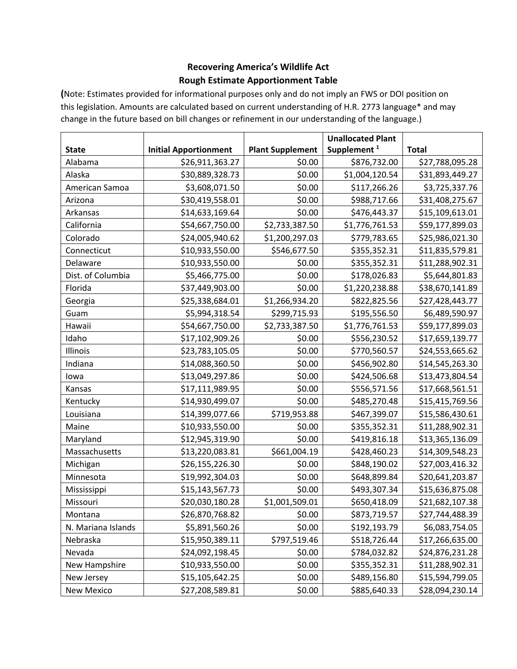# **Recovering America's Wildlife Act Rough Estimate Apportionment Table**

**(**Note: Estimates provided for informational purposes only and do not imply an FWS or DOI position on this legislation. Amounts are calculated based on current understanding of H.R. 2773 language\* and may change in the future based on bill changes or refinement in our understanding of the language.)

|                    |                              |                         | <b>Unallocated Plant</b> |                 |
|--------------------|------------------------------|-------------------------|--------------------------|-----------------|
| <b>State</b>       | <b>Initial Apportionment</b> | <b>Plant Supplement</b> | Supplement <sup>1</sup>  | <b>Total</b>    |
| Alabama            | \$26,911,363.27              | \$0.00                  | \$876,732.00             | \$27,788,095.28 |
| Alaska             | \$30,889,328.73              | \$0.00                  | \$1,004,120.54           | \$31,893,449.27 |
| American Samoa     | \$3,608,071.50               | \$0.00                  | \$117,266.26             | \$3,725,337.76  |
| Arizona            | \$30,419,558.01              | \$0.00                  | \$988,717.66             | \$31,408,275.67 |
| Arkansas           | \$14,633,169.64              | \$0.00                  | \$476,443.37             | \$15,109,613.01 |
| California         | \$54,667,750.00              | \$2,733,387.50          | \$1,776,761.53           | \$59,177,899.03 |
| Colorado           | \$24,005,940.62              | \$1,200,297.03          | \$779,783.65             | \$25,986,021.30 |
| Connecticut        | \$10,933,550.00              | \$546,677.50            | \$355,352.31             | \$11,835,579.81 |
| Delaware           | \$10,933,550.00              | \$0.00                  | \$355,352.31             | \$11,288,902.31 |
| Dist. of Columbia  | \$5,466,775.00               | \$0.00                  | \$178,026.83             | \$5,644,801.83  |
| Florida            | \$37,449,903.00              | \$0.00                  | \$1,220,238.88           | \$38,670,141.89 |
| Georgia            | \$25,338,684.01              | \$1,266,934.20          | \$822,825.56             | \$27,428,443.77 |
| Guam               | \$5,994,318.54               | \$299,715.93            | \$195,556.50             | \$6,489,590.97  |
| Hawaii             | \$54,667,750.00              | \$2,733,387.50          | \$1,776,761.53           | \$59,177,899.03 |
| Idaho              | \$17,102,909.26              | \$0.00                  | \$556,230.52             | \$17,659,139.77 |
| Illinois           | \$23,783,105.05              | \$0.00                  | \$770,560.57             | \$24,553,665.62 |
| Indiana            | \$14,088,360.50              | \$0.00                  | \$456,902.80             | \$14,545,263.30 |
| lowa               | \$13,049,297.86              | \$0.00                  | \$424,506.68             | \$13,473,804.54 |
| Kansas             | \$17,111,989.95              | \$0.00                  | \$556,571.56             | \$17,668,561.51 |
| Kentucky           | \$14,930,499.07              | \$0.00                  | \$485,270.48             | \$15,415,769.56 |
| Louisiana          | \$14,399,077.66              | \$719,953.88            | \$467,399.07             | \$15,586,430.61 |
| Maine              | \$10,933,550.00              | \$0.00                  | \$355,352.31             | \$11,288,902.31 |
| Maryland           | \$12,945,319.90              | \$0.00                  | \$419,816.18             | \$13,365,136.09 |
| Massachusetts      | \$13,220,083.81              | \$661,004.19            | \$428,460.23             | \$14,309,548.23 |
| Michigan           | \$26,155,226.30              | \$0.00                  | \$848,190.02             | \$27,003,416.32 |
| Minnesota          | \$19,992,304.03              | \$0.00                  | \$648,899.84             | \$20,641,203.87 |
| Mississippi        | \$15,143,567.73              | \$0.00                  | \$493,307.34             | \$15,636,875.08 |
| Missouri           | \$20,030,180.28              | \$1,001,509.01          | \$650,418.09             | \$21,682,107.38 |
| Montana            | \$26,870,768.82              | \$0.00                  | \$873,719.57             | \$27,744,488.39 |
| N. Mariana Islands | \$5,891,560.26               | \$0.00                  | \$192,193.79             | \$6,083,754.05  |
| Nebraska           | \$15,950,389.11              | \$797,519.46            | \$518,726.44             | \$17,266,635.00 |
| Nevada             | \$24,092,198.45              | \$0.00                  | \$784,032.82             | \$24,876,231.28 |
| New Hampshire      | \$10,933,550.00              | \$0.00                  | \$355,352.31             | \$11,288,902.31 |
| New Jersey         | \$15,105,642.25              | \$0.00                  | \$489,156.80             | \$15,594,799.05 |
| <b>New Mexico</b>  | \$27,208,589.81              | \$0.00                  | \$885,640.33             | \$28,094,230.14 |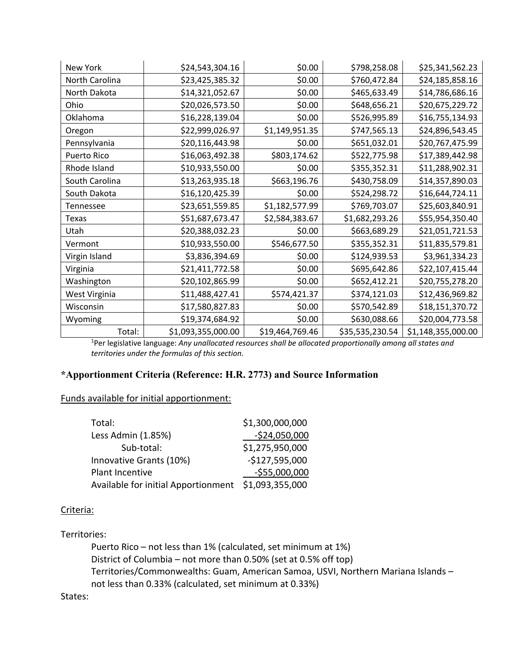| New York       | \$24,543,304.16    | \$0.00          | \$798,258.08    | \$25,341,562.23    |
|----------------|--------------------|-----------------|-----------------|--------------------|
| North Carolina | \$23,425,385.32    | \$0.00          | \$760,472.84    | \$24,185,858.16    |
| North Dakota   | \$14,321,052.67    | \$0.00          | \$465,633.49    | \$14,786,686.16    |
| Ohio           | \$20,026,573.50    | \$0.00          | \$648,656.21    | \$20,675,229.72    |
| Oklahoma       | \$16,228,139.04    | \$0.00          | \$526,995.89    | \$16,755,134.93    |
| Oregon         | \$22,999,026.97    | \$1,149,951.35  | \$747,565.13    | \$24,896,543.45    |
| Pennsylvania   | \$20,116,443.98    | \$0.00          | \$651,032.01    | \$20,767,475.99    |
| Puerto Rico    | \$16,063,492.38    | \$803,174.62    | \$522,775.98    | \$17,389,442.98    |
| Rhode Island   | \$10,933,550.00    | \$0.00          | \$355,352.31    | \$11,288,902.31    |
| South Carolina | \$13,263,935.18    | \$663,196.76    | \$430,758.09    | \$14,357,890.03    |
| South Dakota   | \$16,120,425.39    | \$0.00          | \$524,298.72    | \$16,644,724.11    |
| Tennessee      | \$23,651,559.85    | \$1,182,577.99  | \$769,703.07    | \$25,603,840.91    |
| Texas          | \$51,687,673.47    | \$2,584,383.67  | \$1,682,293.26  | \$55,954,350.40    |
| Utah           | \$20,388,032.23    | \$0.00          | \$663,689.29    | \$21,051,721.53    |
| Vermont        | \$10,933,550.00    | \$546,677.50    | \$355,352.31    | \$11,835,579.81    |
| Virgin Island  | \$3,836,394.69     | \$0.00          | \$124,939.53    | \$3,961,334.23     |
| Virginia       | \$21,411,772.58    | \$0.00          | \$695,642.86    | \$22,107,415.44    |
| Washington     | \$20,102,865.99    | \$0.00          | \$652,412.21    | \$20,755,278.20    |
| West Virginia  | \$11,488,427.41    | \$574,421.37    | \$374,121.03    | \$12,436,969.82    |
| Wisconsin      | \$17,580,827.83    | \$0.00          | \$570,542.89    | \$18,151,370.72    |
| Wyoming        | \$19,374,684.92    | \$0.00          | \$630,088.66    | \$20,004,773.58    |
| Total:         | \$1,093,355,000.00 | \$19,464,769.46 | \$35,535,230.54 | \$1,148,355,000.00 |

1 Per legislative language: *Any unallocated resources shall be allocated proportionally among all states and territories under the formulas of this section.*

## **\*Apportionment Criteria (Reference: H.R. 2773) and Source Information**

#### Funds available for initial apportionment:

| Total:                                              | \$1,300,000,000 |
|-----------------------------------------------------|-----------------|
| Less Admin (1.85%)                                  | $-$24,050,000$  |
| Sub-total:                                          | \$1,275,950,000 |
| Innovative Grants (10%)                             | $-$127,595,000$ |
| Plant Incentive                                     | $-555,000,000$  |
| Available for initial Apportionment \$1,093,355,000 |                 |

#### Criteria:

### Territories:

Puerto Rico – not less than 1% (calculated, set minimum at 1%) District of Columbia – not more than 0.50% (set at 0.5% off top) Territories/Commonwealths: Guam, American Samoa, USVI, Northern Mariana Islands – not less than 0.33% (calculated, set minimum at 0.33%)

### States: